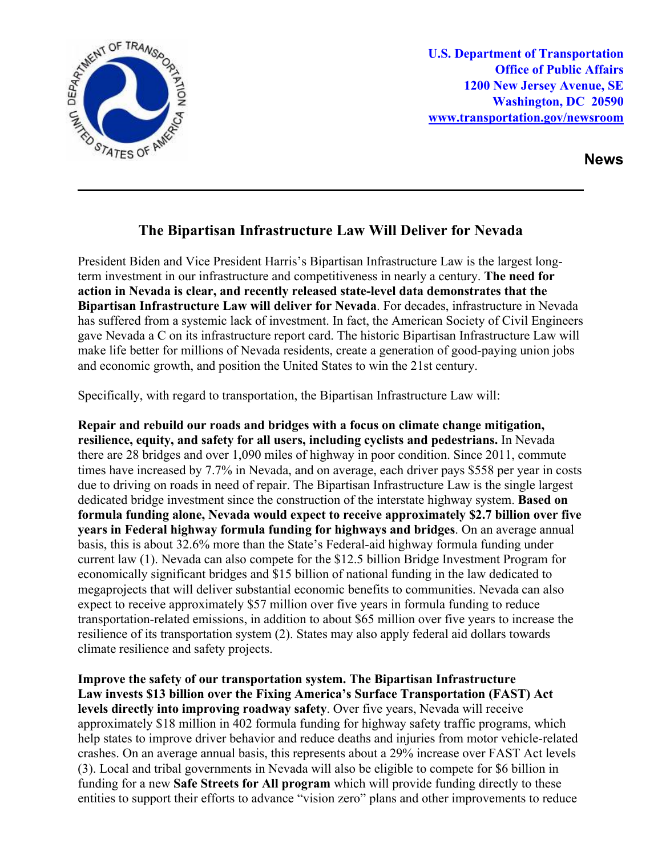

**U.S. Department of Transportation Office of Public Affairs 1200 New Jersey Avenue, SE Washington, DC 20590 [www.transportation.gov/newsroom](http://www.transportation.gov/newsroom)** 

**News**

## **The Bipartisan Infrastructure Law Will Deliver for Nevada**

President Biden and Vice President Harris's Bipartisan Infrastructure Law is the largest longterm investment in our infrastructure and competitiveness in nearly a century. **The need for action in Nevada is clear, and recently released state-level data demonstrates that the Bipartisan Infrastructure Law will deliver for Nevada**. For decades, infrastructure in Nevada has suffered from a systemic lack of investment. In fact, the American Society of Civil Engineers gave Nevada a C on its infrastructure report card. The historic Bipartisan Infrastructure Law will make life better for millions of Nevada residents, create a generation of good-paying union jobs and economic growth, and position the United States to win the 21st century.

Specifically, with regard to transportation, the Bipartisan Infrastructure Law will:

**Repair and rebuild our roads and bridges with a focus on climate change mitigation, resilience, equity, and safety for all users, including cyclists and pedestrians.** In Nevada there are 28 bridges and over 1,090 miles of highway in poor condition. Since 2011, commute times have increased by 7.7% in Nevada, and on average, each driver pays \$558 per year in costs due to driving on roads in need of repair. The Bipartisan Infrastructure Law is the single largest dedicated bridge investment since the construction of the interstate highway system. **Based on formula funding alone, Nevada would expect to receive approximately \$2.7 billion over five years in Federal highway formula funding for highways and bridges**. On an average annual basis, this is about 32.6% more than the State's Federal-aid highway formula funding under current law (1). Nevada can also compete for the \$12.5 billion Bridge Investment Program for economically significant bridges and \$15 billion of national funding in the law dedicated to megaprojects that will deliver substantial economic benefits to communities. Nevada can also expect to receive approximately \$57 million over five years in formula funding to reduce transportation-related emissions, in addition to about \$65 million over five years to increase the resilience of its transportation system (2). States may also apply federal aid dollars towards climate resilience and safety projects.

**Improve the safety of our transportation system. The Bipartisan Infrastructure Law invests \$13 billion over the Fixing America's Surface Transportation (FAST) Act levels directly into improving roadway safety**. Over five years, Nevada will receive approximately \$18 million in 402 formula funding for highway safety traffic programs, which help states to improve driver behavior and reduce deaths and injuries from motor vehicle-related crashes. On an average annual basis, this represents about a 29% increase over FAST Act levels (3). Local and tribal governments in Nevada will also be eligible to compete for \$6 billion in funding for a new **Safe Streets for All program** which will provide funding directly to these entities to support their efforts to advance "vision zero" plans and other improvements to reduce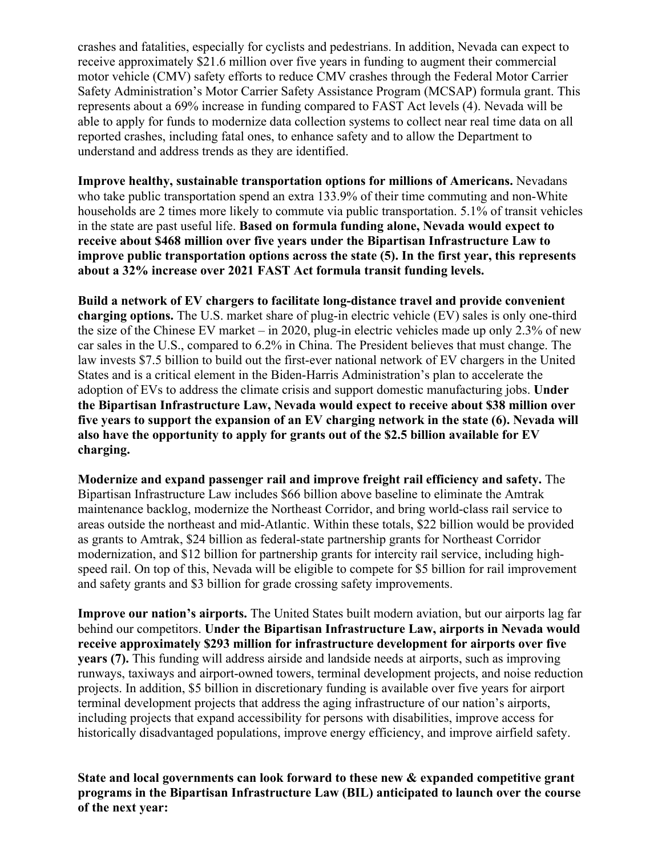crashes and fatalities, especially for cyclists and pedestrians. In addition, Nevada can expect to receive approximately \$21.6 million over five years in funding to augment their commercial motor vehicle (CMV) safety efforts to reduce CMV crashes through the Federal Motor Carrier Safety Administration's Motor Carrier Safety Assistance Program (MCSAP) formula grant. This represents about a 69% increase in funding compared to FAST Act levels (4). Nevada will be able to apply for funds to modernize data collection systems to collect near real time data on all reported crashes, including fatal ones, to enhance safety and to allow the Department to understand and address trends as they are identified.

**Improve healthy, sustainable transportation options for millions of Americans.** Nevadans who take public transportation spend an extra 133.9% of their time commuting and non-White households are 2 times more likely to commute via public transportation. 5.1% of transit vehicles in the state are past useful life. **Based on formula funding alone, Nevada would expect to receive about \$468 million over five years under the Bipartisan Infrastructure Law to improve public transportation options across the state (5). In the first year, this represents about a 32% increase over 2021 FAST Act formula transit funding levels.**

**Build a network of EV chargers to facilitate long-distance travel and provide convenient charging options.** The U.S. market share of plug-in electric vehicle (EV) sales is only one-third the size of the Chinese EV market – in 2020, plug-in electric vehicles made up only 2.3% of new car sales in the U.S., compared to 6.2% in China. The President believes that must change. The law invests \$7.5 billion to build out the first-ever national network of EV chargers in the United States and is a critical element in the Biden-Harris Administration's plan to accelerate the adoption of EVs to address the climate crisis and support domestic manufacturing jobs. **Under the Bipartisan Infrastructure Law, Nevada would expect to receive about \$38 million over five years to support the expansion of an EV charging network in the state (6). Nevada will also have the opportunity to apply for grants out of the \$2.5 billion available for EV charging.** 

**Modernize and expand passenger rail and improve freight rail efficiency and safety.** The Bipartisan Infrastructure Law includes \$66 billion above baseline to eliminate the Amtrak maintenance backlog, modernize the Northeast Corridor, and bring world-class rail service to areas outside the northeast and mid-Atlantic. Within these totals, \$22 billion would be provided as grants to Amtrak, \$24 billion as federal-state partnership grants for Northeast Corridor modernization, and \$12 billion for partnership grants for intercity rail service, including highspeed rail. On top of this, Nevada will be eligible to compete for \$5 billion for rail improvement and safety grants and \$3 billion for grade crossing safety improvements.

**Improve our nation's airports.** The United States built modern aviation, but our airports lag far behind our competitors. **Under the Bipartisan Infrastructure Law, airports in Nevada would receive approximately \$293 million for infrastructure development for airports over five years (7).** This funding will address airside and landside needs at airports, such as improving runways, taxiways and airport-owned towers, terminal development projects, and noise reduction projects. In addition, \$5 billion in discretionary funding is available over five years for airport terminal development projects that address the aging infrastructure of our nation's airports, including projects that expand accessibility for persons with disabilities, improve access for historically disadvantaged populations, improve energy efficiency, and improve airfield safety.

**State and local governments can look forward to these new & expanded competitive grant programs in the Bipartisan Infrastructure Law (BIL) anticipated to launch over the course of the next year:**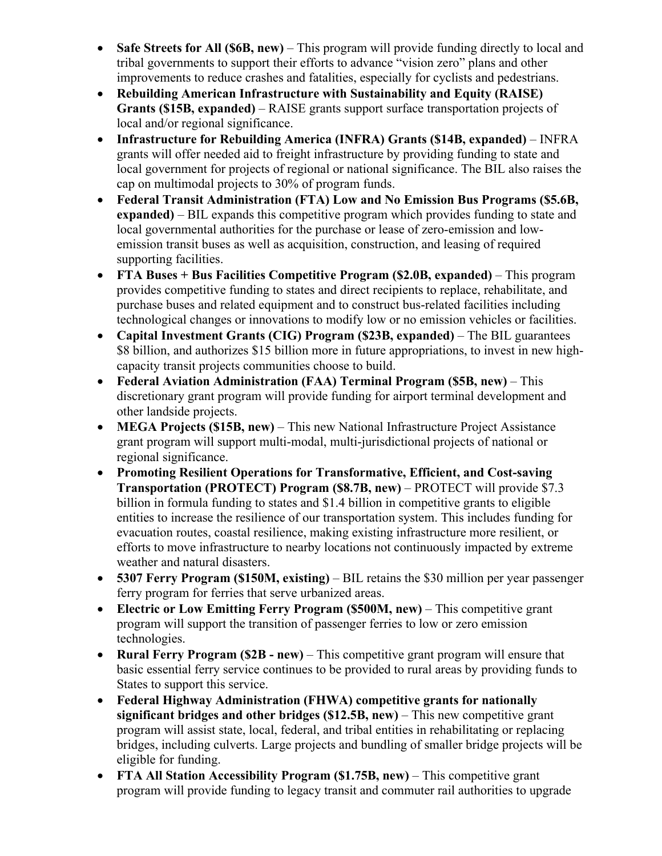- **Safe Streets for All (\$6B, new)** This program will provide funding directly to local and tribal governments to support their efforts to advance "vision zero" plans and other improvements to reduce crashes and fatalities, especially for cyclists and pedestrians.
- **Rebuilding American Infrastructure with Sustainability and Equity (RAISE) Grants (\$15B, expanded)** – RAISE grants support surface transportation projects of local and/or regional significance.
- **Infrastructure for Rebuilding America (INFRA) Grants (\$14B, expanded)**  INFRA grants will offer needed aid to freight infrastructure by providing funding to state and local government for projects of regional or national significance. The BIL also raises the cap on multimodal projects to 30% of program funds.
- **Federal Transit Administration (FTA) Low and No Emission Bus Programs (\$5.6B, expanded)** – BIL expands this competitive program which provides funding to state and local governmental authorities for the purchase or lease of zero-emission and lowemission transit buses as well as acquisition, construction, and leasing of required supporting facilities.
- **FTA Buses + Bus Facilities Competitive Program (\$2.0B, expanded)** This program provides competitive funding to states and direct recipients to replace, rehabilitate, and purchase buses and related equipment and to construct bus-related facilities including technological changes or innovations to modify low or no emission vehicles or facilities.
- **Capital Investment Grants (CIG) Program (\$23B, expanded)** The BIL guarantees \$8 billion, and authorizes \$15 billion more in future appropriations, to invest in new highcapacity transit projects communities choose to build.
- **Federal Aviation Administration (FAA) Terminal Program (\$5B, new)** This discretionary grant program will provide funding for airport terminal development and other landside projects.
- **MEGA Projects (\$15B, new)** This new National Infrastructure Project Assistance grant program will support multi-modal, multi-jurisdictional projects of national or regional significance.
- **Promoting Resilient Operations for Transformative, Efficient, and Cost-saving Transportation (PROTECT) Program (\$8.7B, new)** – PROTECT will provide \$7.3 billion in formula funding to states and \$1.4 billion in competitive grants to eligible entities to increase the resilience of our transportation system. This includes funding for evacuation routes, coastal resilience, making existing infrastructure more resilient, or efforts to move infrastructure to nearby locations not continuously impacted by extreme weather and natural disasters.
- **5307 Ferry Program (\$150M, existing)** BIL retains the \$30 million per year passenger ferry program for ferries that serve urbanized areas.
- **Electric or Low Emitting Ferry Program (\$500M, new)** This competitive grant program will support the transition of passenger ferries to low or zero emission technologies.
- **Rural Ferry Program (\$2B - new)** This competitive grant program will ensure that basic essential ferry service continues to be provided to rural areas by providing funds to States to support this service.
- **Federal Highway Administration (FHWA) competitive grants for nationally significant bridges and other bridges (\$12.5B, new)** – This new competitive grant program will assist state, local, federal, and tribal entities in rehabilitating or replacing bridges, including culverts. Large projects and bundling of smaller bridge projects will be eligible for funding.
- **FTA All Station Accessibility Program (\$1.75B, new)** This competitive grant program will provide funding to legacy transit and commuter rail authorities to upgrade